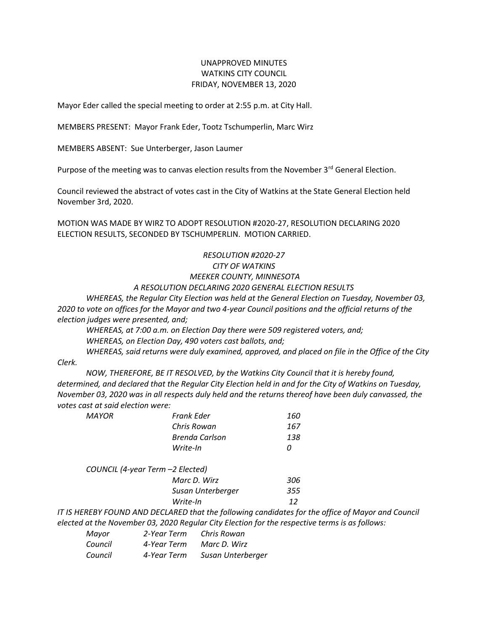## UNAPPROVED MINUTES WATKINS CITY COUNCIL FRIDAY, NOVEMBER 13, 2020

Mayor Eder called the special meeting to order at 2:55 p.m. at City Hall.

MEMBERS PRESENT: Mayor Frank Eder, Tootz Tschumperlin, Marc Wirz

MEMBERS ABSENT: Sue Unterberger, Jason Laumer

Purpose of the meeting was to canvas election results from the November  $3^{rd}$  General Election.

Council reviewed the abstract of votes cast in the City of Watkins at the State General Election held November 3rd, 2020.

MOTION WAS MADE BY WIRZ TO ADOPT RESOLUTION #2020-27, RESOLUTION DECLARING 2020 ELECTION RESULTS, SECONDED BY TSCHUMPERLIN. MOTION CARRIED.

## *RESOLUTION #2020-27 CITY OF WATKINS MEEKER COUNTY, MINNESOTA A RESOLUTION DECLARING 2020 GENERAL ELECTION RESULTS*

*WHEREAS, the Regular City Election was held at the General Election on Tuesday, November 03,* 

*2020 to vote on offices for the Mayor and two 4-year Council positions and the official returns of the election judges were presented, and;*

*WHEREAS, at 7:00 a.m. on Election Day there were 509 registered voters, and; WHEREAS, on Election Day, 490 voters cast ballots, and;*

*WHEREAS, said returns were duly examined, approved, and placed on file in the Office of the City Clerk.*

*NOW, THEREFORE, BE IT RESOLVED, by the Watkins City Council that it is hereby found, determined, and declared that the Regular City Election held in and for the City of Watkins on Tuesday, November 03, 2020 was in all respects duly held and the returns thereof have been duly canvassed, the votes cast at said election were:*

| MAYOR | Frank Eder                       | 160 |
|-------|----------------------------------|-----|
|       | Chris Rowan                      | 167 |
|       | <b>Brenda Carlson</b>            | 138 |
|       | Write-In                         | Ω   |
|       | COUNCIL (4-year Term -2 Elected) |     |
|       | Marc D. Wirz                     | 306 |
|       | Susan Unterberger                | 355 |
|       | Write-In                         | 12  |

*IT IS HEREBY FOUND AND DECLARED that the following candidates for the office of Mayor and Council elected at the November 03, 2020 Regular City Election for the respective terms is as follows:*

| Mayor   | 2-Year Term | Chris Rowan       |
|---------|-------------|-------------------|
| Council | 4-Year Term | Marc D. Wirz      |
| Council | 4-Year Term | Susan Unterberger |